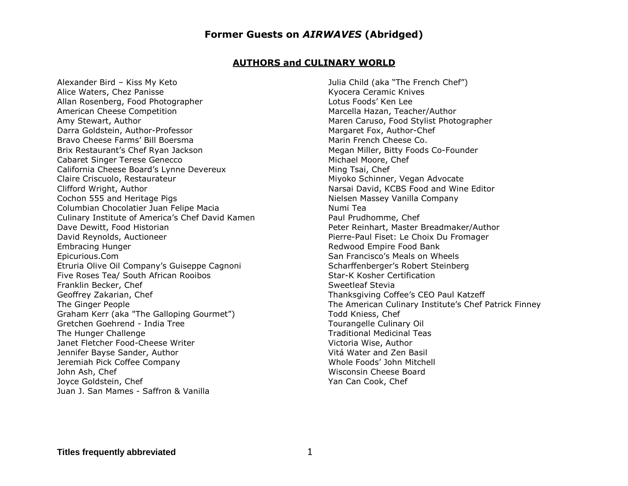### **AUTHORS and CULINARY WORLD**

Alexander Bird – Kiss My Keto Alice Waters, Chez Panisse Allan Rosenberg, Food Photographer American Cheese Competition Amy Stewart, Author Darra Goldstein, Author-Professor Bravo Cheese Farms' Bill Boersma Brix Restaurant's Chef Ryan Jackson Cabaret Singer Terese Genecco California Cheese Board's Lynne Devereux Claire Criscuolo, Restaurateur Clifford Wright, Author Cochon 555 and Heritage Pigs Columbian Chocolatier Juan Felipe Macia Culinary Institute of America's Chef David Kamen Dave Dewitt, Food Historian David Reynolds, Auctioneer Embracing Hunger Epicurious.Com Etruria Olive Oil Company's Guiseppe Cagnoni Five Roses Tea/ South African Rooibos Franklin Becker, Chef Geoffrey Zakarian, Chef The Ginger People Graham Kerr (aka "The Galloping Gourmet") Gretchen Goehrend - India Tree The Hunger Challenge Janet Fletcher Food-Cheese Writer Jennifer Bayse Sander, Author Jeremiah Pick Coffee Company John Ash, Chef Joyce Goldstein, Chef Juan J. San Mames - Saffron & Vanilla

Julia Child (aka "The French Chef") Kyocera Ceramic Knives Lotus Foods' Ken Lee Marcella Hazan, Teacher/Author Maren Caruso, Food Stylist Photographer Margaret Fox, Author-Chef Marin French Cheese Co. Megan Miller, Bitty Foods Co-Founder Michael Moore, Chef Ming Tsai, Chef Miyoko Schinner, Vegan Advocate Narsai David, KCBS Food and Wine Editor Nielsen Massey Vanilla Company Numi Tea Paul Prudhomme, Chef Peter Reinhart, Master Breadmaker/Author Pierre-Paul Fiset: Le Choix Du Fromager Redwood Empire Food Bank San Francisco's Meals on Wheels Scharffenberger's Robert Steinberg Star-K Kosher Certification Sweetleaf Stevia Thanksgiving Coffee's CEO Paul Katzeff The American Culinary Institute's Chef Patrick Finney Todd Kniess, Chef Tourangelle Culinary Oil Traditional Medicinal Teas Victoria Wise, Author Vitá Water and Zen Basil Whole Foods' John Mitchell Wisconsin Cheese Board Yan Can Cook, Chef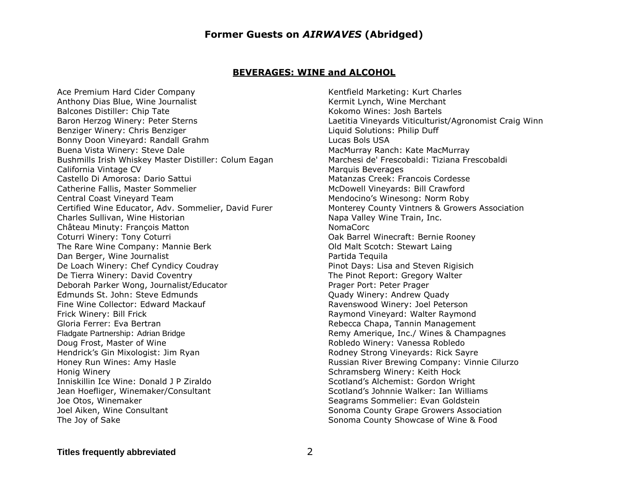### **BEVERAGES: WINE and ALCOHOL**

Ace Premium Hard Cider Company Anthony Dias Blue, Wine Journalist Balcones Distiller: Chip Tate Baron Herzog Winery: Peter Sterns Benziger Winery: Chris Benziger Bonny Doon Vineyard: Randall Grahm Buena Vista Winery: Steve Dale Bushmills Irish Whiskey Master Distiller: Colum Eagan California Vintage CV Castello Di Amorosa: Dario Sattui Catherine Fallis, Master Sommelier Central Coast Vineyard Team Certified Wine Educator, Adv. Sommelier, David Furer Charles Sullivan, Wine Historian Château Minuty: François Matton Coturri Winery: Tony Coturri The Rare Wine Company: Mannie Berk Dan Berger, Wine Journalist De Loach Winery: Chef Cyndicy Coudray De Tierra Winery: David Coventry Deborah Parker Wong, Journalist/Educator Edmunds St. John: Steve Edmunds Fine Wine Collector: Edward Mackauf Frick Winery: Bill Frick Gloria Ferrer: Eva Bertran Fladgate Partnership: Adrian Bridge Doug Frost, Master of Wine Hendrick's Gin Mixologist: Jim Ryan Honey Run Wines: Amy Hasle Honig Winery Inniskillin Ice Wine: Donald J P Ziraldo Jean Hoefliger, Winemaker/Consultant Joe Otos, Winemaker Joel Aiken, Wine Consultant The Joy of Sake

Kentfield Marketing: Kurt Charles Kermit Lynch, Wine Merchant Kokomo Wines: Josh Bartels Laetitia Vineyards Viticulturist/Agronomist Craig Winn Liquid Solutions: Philip Duff Lucas Bols USA MacMurray Ranch: Kate MacMurray Marchesi de' Frescobaldi: Tiziana Frescobaldi Marquis Beverages Matanzas Creek: Francois Cordesse McDowell Vineyards: Bill Crawford Mendocino's Winesong: Norm Roby Monterey County Vintners & Growers Association Napa Valley Wine Train, Inc. NomaCorc Oak Barrel Winecraft: Bernie Rooney Old Malt Scotch: Stewart Laing Partida Tequila Pinot Days: Lisa and Steven Rigisich The Pinot Report: Gregory Walter Prager Port: Peter Prager Quady Winery: Andrew Quady Ravenswood Winery: Joel Peterson Raymond Vineyard: Walter Raymond Rebecca Chapa, Tannin Management Remy Amerique, Inc./ Wines & Champagnes Robledo Winery: Vanessa Robledo Rodney Strong Vineyards: Rick Sayre Russian River Brewing Company: Vinnie Cilurzo Schramsberg Winery: Keith Hock Scotland's Alchemist: Gordon Wright Scotland's Johnnie Walker: Ian Williams Seagrams Sommelier: Evan Goldstein Sonoma County Grape Growers Association Sonoma County Showcase of Wine & Food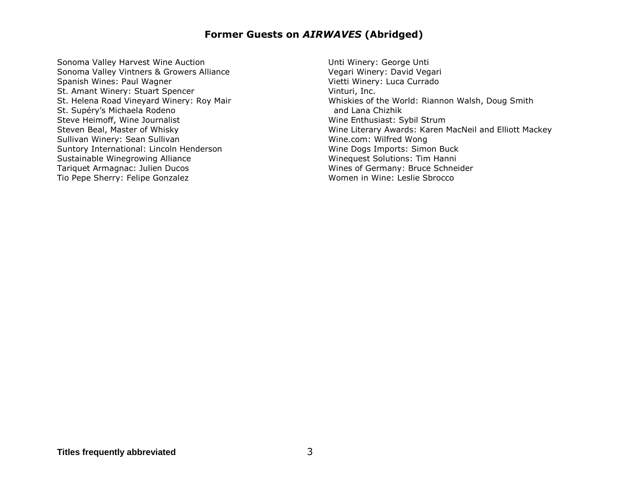Sonoma Valley Harvest Wine Auction Sonoma Valley Vintners & Growers Alliance Spanish Wines: Paul Wagner St. Amant Winery: Stuart Spencer St. Helena Road Vineyard Winery: Roy Mair St. Supéry's Michaela Rodeno Steve Heimoff, Wine Journalist Steven Beal, Master of Whisky Sullivan Winery: Sean Sullivan Suntory International: Lincoln Henderson Sustainable Winegrowing Alliance Tariquet Armagnac: Julien Ducos Tio Pepe Sherry: Felipe Gonzalez

Unti Winery: George Unti Vegari Winery: David Vegari Vietti Winery: Luca Currado Vinturi, Inc. Whiskies of the World: Riannon Walsh, Doug Smith and Lana Chizhik Wine Enthusiast: Sybil Strum Wine Literary Awards: Karen MacNeil and Elliott Mackey Wine.com: Wilfred Wong Wine Dogs Imports: Simon Buck Winequest Solutions: Tim Hanni Wines of Germany: Bruce Schneider Women in Wine: Leslie Sbrocco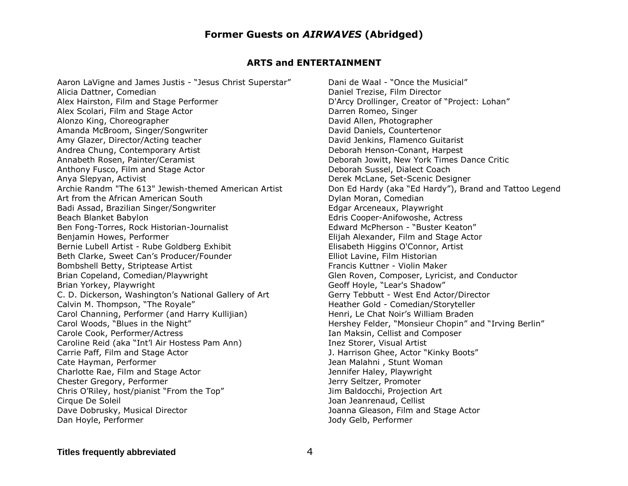### **ARTS and ENTERTAINMENT**

Aaron LaVigne and James Justis - "Jesus Christ Superstar" Alicia Dattner, Comedian Alex Hairston, Film and Stage Performer Alex Scolari, Film and Stage Actor Alonzo King, Choreographer Amanda McBroom, Singer/Songwriter Amy Glazer, Director/Acting teacher Andrea Chung, Contemporary Artist Annabeth Rosen, Painter/Ceramist Anthony Fusco, Film and Stage Actor Anya Slepyan, Activist Archie Randm "The 613" Jewish-themed American Artist Art from the African American South Badi Assad, Brazilian Singer/Songwriter Beach Blanket Babylon Ben Fong-Torres, Rock Historian-Journalist Benjamin Howes, Performer Bernie Lubell Artist - Rube Goldberg Exhibit Beth Clarke, Sweet Can's Producer/Founder Bombshell Betty, Striptease Artist Brian Copeland, Comedian/Playwright Brian Yorkey, Playwright C. D. Dickerson, Washington's National Gallery of Art Calvin M. Thompson, "The Royale" Carol Channing, Performer (and Harry Kullijian) Carol Woods, "Blues in the Night" Carole Cook, Performer/Actress Caroline Reid (aka "Int'l Air Hostess Pam Ann) Carrie Paff, Film and Stage Actor Cate Hayman, Performer Charlotte Rae, Film and Stage Actor Chester Gregory, Performer Chris O'Riley, host/pianist "From the Top" Cirque De Soleil Dave Dobrusky, Musical Director Dan Hoyle, Performer

Dani de Waal - "Once the Musicial" Daniel Trezise, Film Director D'Arcy Drollinger, Creator of "Project: Lohan" Darren Romeo, Singer David Allen, Photographer David Daniels, Countertenor David Jenkins, Flamenco Guitarist Deborah Henson-Conant, Harpest Deborah Jowitt, New York Times Dance Critic Deborah Sussel, Dialect Coach Derek McLane, Set-Scenic Designer Don Ed Hardy (aka "Ed Hardy"), Brand and Tattoo Legend Dylan Moran, Comedian Edgar Arceneaux, Playwright Edris Cooper-Anifowoshe, Actress Edward McPherson - "Buster Keaton" Elijah Alexander, Film and Stage Actor Elisabeth Higgins O'Connor, Artist Elliot Lavine, Film Historian Francis Kuttner - Violin Maker Glen Roven, Composer, Lyricist, and Conductor Geoff Hoyle, "Lear's Shadow" Gerry Tebbutt - West End Actor/Director Heather Gold - Comedian/Storyteller Henri, Le Chat Noir's William Braden Hershey Felder, "Monsieur Chopin" and "Irving Berlin" Ian Maksin, Cellist and Composer Inez Storer, Visual Artist J. Harrison Ghee, Actor "Kinky Boots" Jean Malahni , Stunt Woman Jennifer Haley, Playwright Jerry Seltzer, Promoter Jim Baldocchi, Projection Art Joan Jeanrenaud, Cellist Joanna Gleason, Film and Stage Actor Jody Gelb, Performer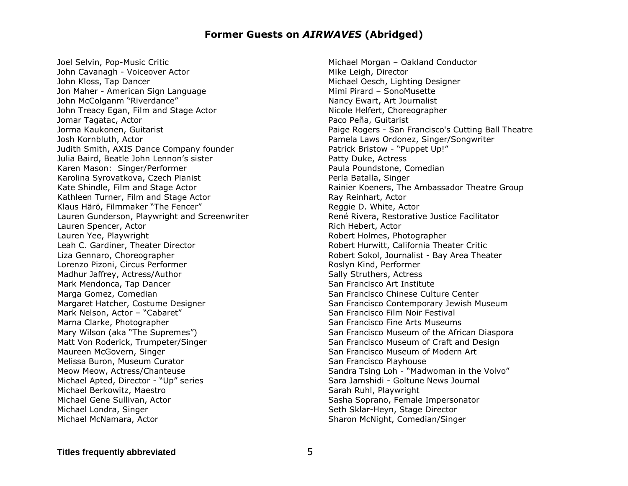Joel Selvin, Pop-Music Critic John Cavanagh - Voiceover Actor John Kloss, Tap Dancer Jon Maher - American Sign Language John McColganm "Riverdance" John Treacy Egan, Film and Stage Actor Jomar Tagatac, Actor Jorma Kaukonen, Guitarist Josh Kornbluth, Actor Judith Smith, AXIS Dance Company founder Julia Baird, Beatle John Lennon's sister Karen Mason: Singer/Performer Karolina Syrovatkova, Czech Pianist Kate Shindle, Film and Stage Actor Kathleen Turner, Film and Stage Actor Klaus Härö, Filmmaker "The Fencer" Lauren Gunderson, Playwright and Screenwriter Lauren Spencer, Actor Lauren Yee, Playwright Leah C. Gardiner, Theater Director Liza Gennaro, Choreographer Lorenzo Pizoni, Circus Performer Madhur Jaffrey, Actress/Author Mark Mendonca, Tap Dancer Marga Gomez, Comedian Margaret Hatcher, Costume Designer Mark Nelson, Actor – "Cabaret" Marna Clarke, Photographer Mary Wilson (aka "The Supremes") Matt Von Roderick, Trumpeter/Singer Maureen McGovern, Singer Melissa Buron, Museum Curator Meow Meow, Actress/Chanteuse Michael Apted, Director - "Up" series Michael Berkowitz, Maestro Michael Gene Sullivan, Actor Michael Londra, Singer Michael McNamara, Actor

Michael Morgan – Oakland Conductor Mike Leigh, Director Michael Oesch, Lighting Designer Mimi Pirard – SonoMusette Nancy Ewart, Art Journalist Nicole Helfert, Choreographer Paco Peña, Guitarist Paige Rogers - San Francisco's Cutting Ball Theatre Pamela Laws Ordonez, Singer/Songwriter Patrick Bristow - "Puppet Up!" Patty Duke, Actress Paula Poundstone, Comedian Perla Batalla, Singer Rainier Koeners, The Ambassador Theatre Group Ray Reinhart, Actor Reggie D. White, Actor René Rivera, Restorative Justice Facilitator Rich Hebert, Actor Robert Holmes, Photographer Robert Hurwitt, California Theater Critic Robert Sokol, Journalist - Bay Area Theater Roslyn Kind, Performer Sally Struthers, Actress San Francisco Art Institute San Francisco Chinese Culture Center San Francisco Contemporary Jewish Museum San Francisco Film Noir Festival San Francisco Fine Arts Museums San Francisco Museum of the African Diaspora San Francisco Museum of Craft and Design San Francisco Museum of Modern Art San Francisco Playhouse Sandra Tsing Loh - "Madwoman in the Volvo" Sara Jamshidi - Goltune News Journal Sarah Ruhl, Playwright Sasha Soprano, Female Impersonator Seth Sklar-Heyn, Stage Director Sharon McNight, Comedian/Singer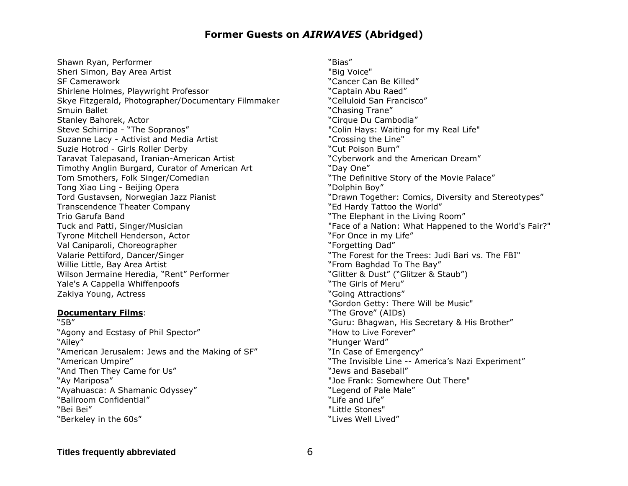Shawn Ryan, Performer Sheri Simon, Bay Area Artist SF Camerawork Shirlene Holmes, Playwright Professor Skye Fitzgerald, Photographer/Documentary Filmmaker Smuin Ballet Stanley Bahorek, Actor Steve Schirripa - "The Sopranos" Suzanne Lacy - Activist and Media Artist Suzie Hotrod - Girls Roller Derby Taravat Talepasand, Iranian-American Artist Timothy Anglin Burgard, Curator of American Art Tom Smothers, Folk Singer/Comedian Tong Xiao Ling - Beijing Opera Tord Gustavsen, Norwegian Jazz Pianist Transcendence Theater Company Trio Garufa Band Tuck and Patti, Singer/Musician Tyrone Mitchell Henderson, Actor Val Caniparoli, Choreographer Valarie Pettiford, Dancer/Singer Willie Little, Bay Area Artist Wilson Jermaine Heredia, "Rent" Performer Yale's A Cappella Whiffenpoofs Zakiya Young, Actress

#### **Documentary Films**:

"5B" "Agony and Ecstasy of Phil Spector" "Ailey" "American Jerusalem: Jews and the Making of SF" "American Umpire" "And Then They Came for Us" "Ay Mariposa" "Ayahuasca: A Shamanic Odyssey" "Ballroom Confidential" "Bei Bei" "Berkeley in the 60s"

"Bias" "Big Voice" "Cancer Can Be Killed" "Captain Abu Raed" "Celluloid San Francisco" "Chasing Trane" "Cirque Du Cambodia" "Colin Hays: Waiting for my Real Life" "Crossing the Line" "Cut Poison Burn" "Cyberwork and the American Dream" "Day One" "The Definitive Story of the Movie Palace" "Dolphin Boy" "Drawn Together: Comics, Diversity and Stereotypes" "Ed Hardy Tattoo the World" "The Elephant in the Living Room" "Face of a Nation: What Happened to the World's Fair?" "For Once in my Life" "Forgetting Dad" "The Forest for the Trees: Judi Bari vs. The FBI" "From Baghdad To The Bay" "Glitter & Dust" ("Glitzer & Staub") "The Girls of Meru" "Going Attractions" "Gordon Getty: There Will be Music" "The Grove" (AIDs) "Guru: Bhagwan, His Secretary & His Brother" "How to Live Forever" "Hunger Ward" "In Case of Emergency" "The Invisible Line -- America's Nazi Experiment" "Jews and Baseball" "Joe Frank: Somewhere Out There" "Legend of Pale Male" "Life and Life" "Little Stones" "Lives Well Lived"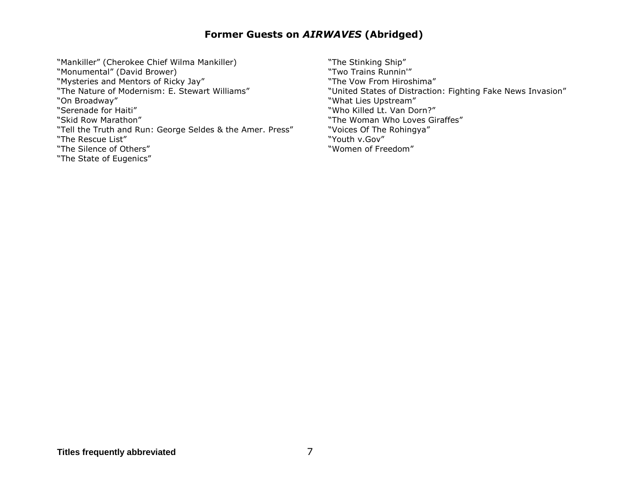"Mankiller" (Cherokee Chief Wilma Mankiller) "Monumental" (David Brower) "Mysteries and Mentors of Ricky Jay" "The Nature of Modernism: E. Stewart Williams" "On Broadway" "Serenade for Haiti" "Skid Row Marathon" "Tell the Truth and Run: George Seldes & the Amer. Press" "The Rescue List" "The Silence of Others" "The State of Eugenics"

"The Stinking Ship" "Two Trains Runnin'" "The Vow From Hiroshima" "United States of Distraction: Fighting Fake News Invasion" "What Lies Upstream" "Who Killed Lt. Van Dorn?" "The Woman Who Loves Giraffes" "Voices Of The Rohingya" "Youth v.Gov" "Women of Freedom"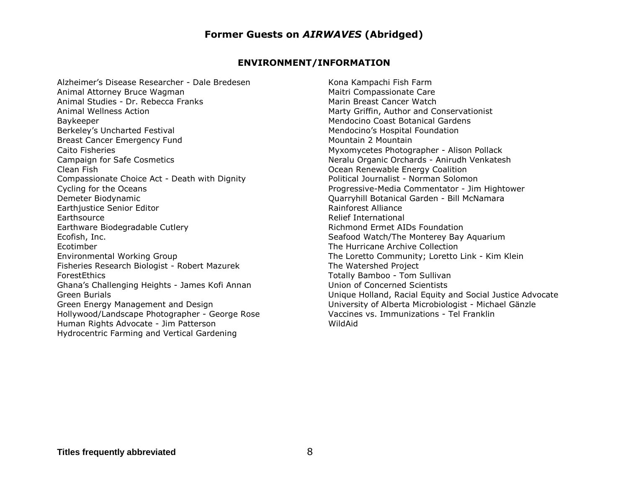### **ENVIRONMENT/INFORMATION**

Alzheimer's Disease Researcher - Dale Bredesen Animal Attorney Bruce Wagman Animal Studies - Dr. Rebecca Franks Animal Wellness Action Baykeeper Berkeley's Uncharted Festival Breast Cancer Emergency Fund Caito Fisheries Campaign for Safe Cosmetics Clean Fish Compassionate Choice Act - Death with Dignity Cycling for the Oceans Demeter Biodynamic Earthjustice Senior Editor **Earthsource** Earthware Biodegradable Cutlery Ecofish, Inc. Ecotimber Environmental Working Group Fisheries Research Biologist - Robert Mazurek **ForestEthics** Ghana's Challenging Heights - James Kofi Annan Green Burials Green Energy Management and Design Hollywood/Landscape Photographer - George Rose Human Rights Advocate - Jim Patterson Hydrocentric Farming and Vertical Gardening

Kona Kampachi Fish Farm Maitri Compassionate Care Marin Breast Cancer Watch Marty Griffin, Author and Conservationist Mendocino Coast Botanical Gardens Mendocino's Hospital Foundation Mountain 2 Mountain Myxomycetes Photographer - Alison Pollack Neralu Organic Orchards - Anirudh Venkatesh Ocean Renewable Energy Coalition Political Journalist - Norman Solomon Progressive-Media Commentator - Jim Hightower Quarryhill Botanical Garden - Bill McNamara Rainforest Alliance Relief International Richmond Ermet AIDs Foundation Seafood Watch/The Monterey Bay Aquarium The Hurricane Archive Collection The Loretto Community; Loretto Link - Kim Klein The Watershed Project Totally Bamboo - Tom Sullivan Union of Concerned Scientists Unique Holland, Racial Equity and Social Justice Advocate University of Alberta Microbiologist - Michael Gänzle Vaccines vs. Immunizations - Tel Franklin WildAid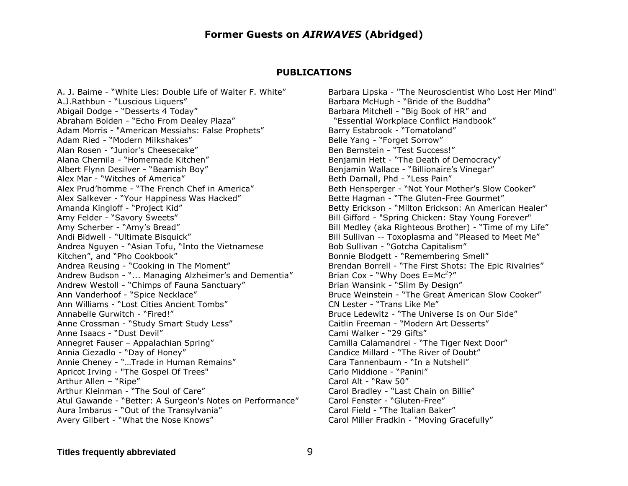#### **PUBLICATIONS**

A. J. Baime - "White Lies: Double Life of Walter F. White" A.J.Rathbun - "Luscious Liquers" Abigail Dodge - "Desserts 4 Today" Abraham Bolden - "Echo From Dealey Plaza" Adam Morris - "American Messiahs: False Prophets" Adam Ried - "Modern Milkshakes" Alan Rosen - "Junior's Cheesecake" Alana Chernila - "Homemade Kitchen" Albert Flynn Desilver - "Beamish Boy" Alex Mar - "Witches of America" Alex Prud'homme - "The French Chef in America" Alex Salkever - "Your Happiness Was Hacked" Amanda Kingloff - "Project Kid" Amy Felder - "Savory Sweets" Amy Scherber - "Amy's Bread" Andi Bidwell - "Ultimate Bisquick" Andrea Nguyen - "Asian Tofu, "Into the Vietnamese Kitchen", and "Pho Cookbook" Andrea Reusing - "Cooking in The Moment" Andrew Budson - "... Managing Alzheimer's and Dementia" Andrew Westoll - "Chimps of Fauna Sanctuary" Ann Vanderhoof - "Spice Necklace" Ann Williams - "Lost Cities Ancient Tombs" Annabelle Gurwitch - "Fired!" Anne Crossman - "Study Smart Study Less" Anne Isaacs - "Dust Devil" Annegret Fauser – Appalachian Spring" Annia Ciezadlo - "Day of Honey" Annie Cheney - "…Trade in Human Remains" Apricot Irving - "The Gospel Of Trees" Arthur Allen – "Ripe" Arthur Kleinman - "The Soul of Care" Atul Gawande - "Better: A Surgeon's Notes on Performance" Aura Imbarus - "Out of the Transylvania" Avery Gilbert - "What the Nose Knows"

Barbara Lipska - "The Neuroscientist Who Lost Her Mind" Barbara McHugh - "Bride of the Buddha" Barbara Mitchell - "Big Book of HR" and "Essential Workplace Conflict Handbook" Barry Estabrook - "Tomatoland" Belle Yang - "Forget Sorrow" Ben Bernstein - "Test Success!" Benjamin Hett - "The Death of Democracy" Benjamin Wallace - "Billionaire's Vinegar" Beth Darnall, Phd - "Less Pain" Beth Hensperger - "Not Your Mother's Slow Cooker" Bette Hagman - "The Gluten-Free Gourmet" Betty Erickson - "Milton Erickson: An American Healer" Bill Gifford - "Spring Chicken: Stay Young Forever" Bill Medley (aka Righteous Brother) - "Time of my Life" Bill Sullivan -- Toxoplasma and "Pleased to Meet Me" Bob Sullivan - "Gotcha Capitalism" Bonnie Blodgett - "Remembering Smell" Brendan Borrell - "The First Shots: The Epic Rivalries" Brian Cox - "Why Does  $E=Mc^2$ ?" Brian Wansink - "Slim By Design" Bruce Weinstein - "The Great American Slow Cooker" CN Lester - "Trans Like Me" Bruce Ledewitz - "The Universe Is on Our Side" Caitlin Freeman - "Modern Art Desserts" Cami Walker - "29 Gifts" Camilla Calamandrei - "The Tiger Next Door" Candice Millard - "The River of Doubt" Cara Tannenbaum - "In a Nutshell" Carlo Middione - "Panini" Carol Alt - "Raw 50" Carol Bradley - "Last Chain on Billie" Carol Fenster - "Gluten-Free" Carol Field - "The Italian Baker" Carol Miller Fradkin - "Moving Gracefully"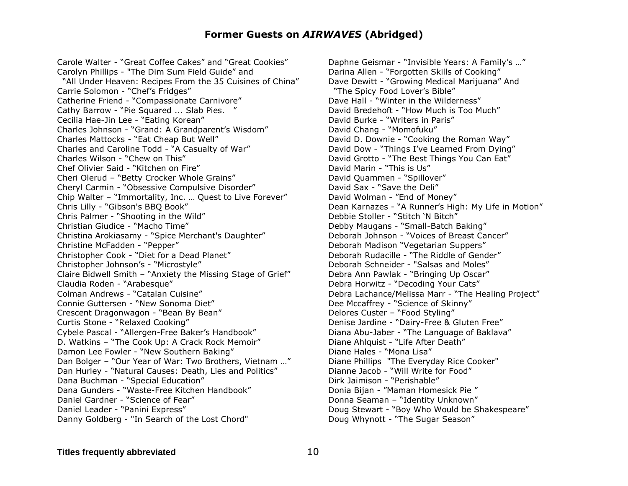Carole Walter - "Great Coffee Cakes" and "Great Cookies" Carolyn Phillips - "The Dim Sum Field Guide" and "All Under Heaven: Recipes From the 35 Cuisines of China" Carrie Solomon - "Chef's Fridges" Catherine Friend - "Compassionate Carnivore" Cathy Barrow - "Pie Squared ... Slab Pies. " Cecilia Hae-Jin Lee - "Eating Korean" Charles Johnson - "Grand: A Grandparent's Wisdom" Charles Mattocks - "Eat Cheap But Well" Charles and Caroline Todd - "A Casualty of War" Charles Wilson - "Chew on This" Chef Olivier Said - "Kitchen on Fire" Cheri Olerud – "Betty Crocker Whole Grains" Cheryl Carmin - "Obsessive Compulsive Disorder" Chip Walter – "Immortality, Inc. … Quest to Live Forever" Chris Lilly - "Gibson's BBQ Book" Chris Palmer - "Shooting in the Wild" Christian Giudice - "Macho Time" Christina Arokiasamy - "Spice Merchant's Daughter" Christine McFadden - "Pepper" Christopher Cook - "Diet for a Dead Planet" Christopher Johnson's - "Microstyle" Claire Bidwell Smith – "Anxiety the Missing Stage of Grief" Claudia Roden - "Arabesque" Colman Andrews - "Catalan Cuisine" Connie Guttersen - "New Sonoma Diet" Crescent Dragonwagon - "Bean By Bean" Curtis Stone - "Relaxed Cooking" Cybele Pascal - "Allergen-Free Baker's Handbook" D. Watkins – "The Cook Up: A Crack Rock Memoir" Damon Lee Fowler - "New Southern Baking" Dan Bolger – "Our Year of War: Two Brothers, Vietnam …" Dan Hurley - "Natural Causes: Death, Lies and Politics" Dana Buchman - "Special Education" Dana Gunders - "Waste-Free Kitchen Handbook" Daniel Gardner - "Science of Fear" Daniel Leader - "Panini Express" Danny Goldberg - "In Search of the Lost Chord"

Daphne Geismar - "Invisible Years: A Family's …" Darina Allen - "Forgotten Skills of Cooking" Dave Dewitt - "Growing Medical Marijuana" And "The Spicy Food Lover's Bible" Dave Hall - "Winter in the Wilderness" David Bredehoft - "How Much is Too Much" David Burke - "Writers in Paris" David Chang - "Momofuku" David D. Downie - "Cooking the Roman Way" David Dow - "Things I've Learned From Dying" David Grotto - "The Best Things You Can Eat" David Marin - "This is Us" David Quammen - "Spillover" David Sax - "Save the Deli" David Wolman - "End of Money" Dean Karnazes - "A Runner's High: My Life in Motion" Debbie Stoller - "Stitch 'N Bitch" Debby Maugans - "Small-Batch Baking" Deborah Johnson - "Voices of Breast Cancer" Deborah Madison "Vegetarian Suppers" Deborah Rudacille - "The Riddle of Gender" Deborah Schneider - "Salsas and Moles" Debra Ann Pawlak - "Bringing Up Oscar" Debra Horwitz - "Decoding Your Cats" Debra Lachance/Melissa Marr - "The Healing Project" Dee Mccaffrey - "Science of Skinny" Delores Custer – "Food Styling" Denise Jardine - "Dairy-Free & Gluten Free" Diana Abu-Jaber - "The Language of Baklava" Diane Ahlquist - "Life After Death" Diane Hales - "Mona Lisa" Diane Phillips "The Everyday Rice Cooker" Dianne Jacob - "Will Write for Food" Dirk Jaimison - "Perishable" Donia Bijan - "Maman Homesick Pie " Donna Seaman – "Identity Unknown" Doug Stewart - "Boy Who Would be Shakespeare" Doug Whynott - "The Sugar Season"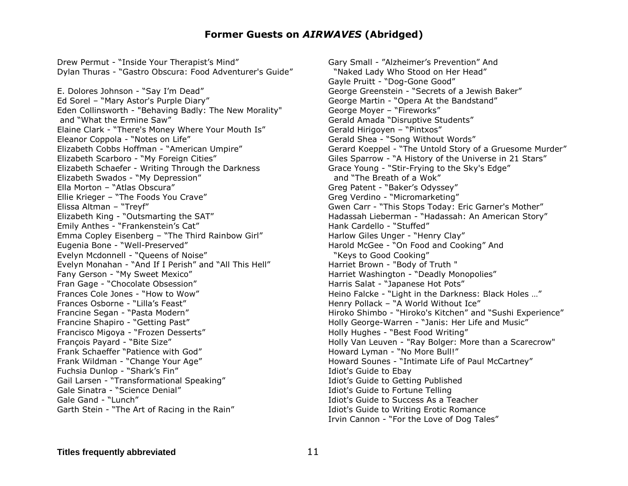Drew Permut - "Inside Your Therapist's Mind" Dylan Thuras - "Gastro Obscura: Food Adventurer's Guide"

E. Dolores Johnson - "Say I'm Dead" Ed Sorel – "Mary Astor's Purple Diary" Eden Collinsworth - "Behaving Badly: The New Morality" and "What the Ermine Saw" Elaine Clark - "There's Money Where Your Mouth Is" Eleanor Coppola - "Notes on Life" Elizabeth Cobbs Hoffman - "American Umpire" Elizabeth Scarboro - "My Foreign Cities" Elizabeth Schaefer - Writing Through the Darkness Elizabeth Swados - "My Depression" Ella Morton – "Atlas Obscura" Ellie Krieger – "The Foods You Crave" Elissa Altman – "Treyf" Elizabeth King - "Outsmarting the SAT" Emily Anthes - "Frankenstein's Cat" Emma Copley Eisenberg – "The Third Rainbow Girl" Eugenia Bone - "Well-Preserved" Evelyn Mcdonnell - "Queens of Noise" Evelyn Monahan - "And If I Perish" and "All This Hell" Fany Gerson - "My Sweet Mexico" Fran Gage - "Chocolate Obsession" Frances Cole Jones - "How to Wow" Frances Osborne - "Lilla's Feast" Francine Segan - "Pasta Modern" Francine Shapiro - "Getting Past" Francisco Migoya - "Frozen Desserts" François Payard - "Bite Size" Frank Schaeffer "Patience with God" Frank Wildman - "Change Your Age" Fuchsia Dunlop - "Shark's Fin" Gail Larsen - "Transformational Speaking" Gale Sinatra - "Science Denial" Gale Gand - "Lunch" Garth Stein - "The Art of Racing in the Rain"

Gary Small - "Alzheimer's Prevention" And "Naked Lady Who Stood on Her Head" Gayle Pruitt - "Dog-Gone Good" George Greenstein - "Secrets of a Jewish Baker" George Martin - "Opera At the Bandstand" George Moyer – "Fireworks" Gerald Amada "Disruptive Students" Gerald Hirigoyen – "Pintxos" Gerald Shea - "Song Without Words" Gerard Koeppel - "The Untold Story of a Gruesome Murder" Giles Sparrow - "A History of the Universe in 21 Stars" Grace Young - "Stir-Frying to the Sky's Edge" and "The Breath of a Wok" Greg Patent - "Baker's Odyssey" Greg Verdino - "Micromarketing" Gwen Carr - "This Stops Today: Eric Garner's Mother" Hadassah Lieberman - "Hadassah: An American Story" Hank Cardello - "Stuffed" Harlow Giles Unger - "Henry Clay" Harold McGee - "On Food and Cooking" And "Keys to Good Cooking" Harriet Brown - "Body of Truth " Harriet Washington - "Deadly Monopolies" Harris Salat - "Japanese Hot Pots" Heino Falcke - "Light in the Darkness: Black Holes …" Henry Pollack – "A World Without Ice" Hiroko Shimbo - "Hiroko's Kitchen" and "Sushi Experience" Holly George-Warren - "Janis: Her Life and Music" Holly Hughes - "Best Food Writing" Holly Van Leuven - "Ray Bolger: More than a Scarecrow" Howard Lyman - "No More Bull!" Howard Sounes - "Intimate Life of Paul McCartney" Idiot's Guide to Ebay Idiot's Guide to Getting Published Idiot's Guide to Fortune Telling Idiot's Guide to Success As a Teacher Idiot's Guide to Writing Erotic Romance Irvin Cannon - "For the Love of Dog Tales"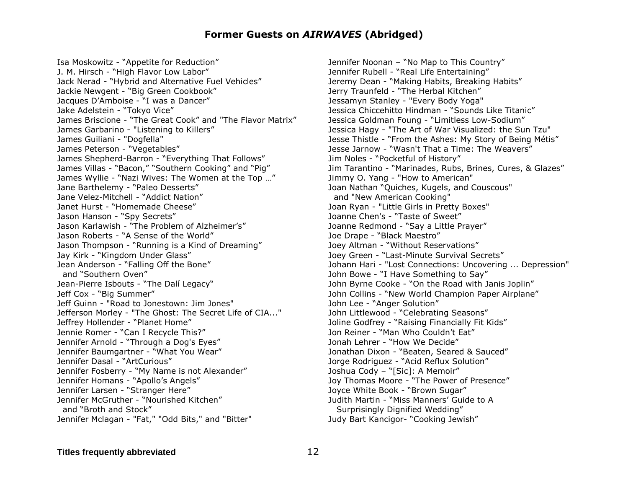Isa Moskowitz - "Appetite for Reduction" J. M. Hirsch - "High Flavor Low Labor" Jack Nerad - "Hybrid and Alternative Fuel Vehicles" Jackie Newgent - "Big Green Cookbook" Jacques D'Amboise - "I was a Dancer" Jake Adelstein - "Tokyo Vice" James Briscione - "The Great Cook" and "The Flavor Matrix" James Garbarino - "Listening to Killers" James Guiliani - "Dogfella" James Peterson - "Vegetables" James Shepherd-Barron - "Everything That Follows" James Villas - "Bacon," "Southern Cooking" and "Pig" James Wyllie - "Nazi Wives: The Women at the Top …" Jane Barthelemy - "Paleo Desserts" Jane Velez-Mitchell - "Addict Nation" Janet Hurst - "Homemade Cheese" Jason Hanson - "Spy Secrets" Jason Karlawish - "The Problem of Alzheimer's" Jason Roberts - "A Sense of the World" Jason Thompson - "Running is a Kind of Dreaming" Jay Kirk - "Kingdom Under Glass" Jean Anderson - "Falling Off the Bone" and "Southern Oven" Jean-Pierre Isbouts - "The Dalí Legacy" Jeff Cox - "Big Summer" Jeff Guinn - "Road to Jonestown: Jim Jones" Jefferson Morley - "The Ghost: The Secret Life of CIA..." Jeffrey Hollender - "Planet Home" Jennie Romer - "Can I Recycle This?" Jennifer Arnold - "Through a Dog's Eyes" Jennifer Baumgartner - "What You Wear" Jennifer Dasal - "ArtCurious" Jennifer Fosberry - "My Name is not Alexander" Jennifer Homans - "Apollo's Angels" Jennifer Larsen - "Stranger Here" Jennifer McGruther - "Nourished Kitchen" and "Broth and Stock" Jennifer Mclagan - "Fat," "Odd Bits," and "Bitter"

Jennifer Noonan – "No Map to This Country" Jennifer Rubell - "Real Life Entertaining" Jeremy Dean - "Making Habits, Breaking Habits" Jerry Traunfeld - "The Herbal Kitchen" Jessamyn Stanley - "Every Body Yoga" Jessica Chiccehitto Hindman - "Sounds Like Titanic" Jessica Goldman Foung - "Limitless Low-Sodium" Jessica Hagy - "The Art of War Visualized: the Sun Tzu" Jesse Thistle - "From the Ashes: My Story of Being Métis" Jesse Jarnow - "Wasn't That a Time: The Weavers" Jim Noles - "Pocketful of History" Jim Tarantino - "Marinades, Rubs, Brines, Cures, & Glazes" Jimmy O. Yang - "How to American" Joan Nathan "Quiches, Kugels, and Couscous" and "New American Cooking" Joan Ryan - "Little Girls in Pretty Boxes" Joanne Chen's - "Taste of Sweet" Joanne Redmond - "Say a Little Prayer" Joe Drape - "Black Maestro" Joey Altman - "Without Reservations" Joey Green - "Last-Minute Survival Secrets" Johann Hari - "Lost Connections: Uncovering ... Depression" John Bowe - "I Have Something to Say" John Byrne Cooke - "On the Road with Janis Joplin" John Collins - "New World Champion Paper Airplane" John Lee - "Anger Solution" John Littlewood - "Celebrating Seasons" Joline Godfrey - "Raising Financially Fit Kids" Jon Reiner - "Man Who Couldn't Eat" Jonah Lehrer - "How We Decide" Jonathan Dixon - "Beaten, Seared & Sauced" Jorge Rodriguez - "Acid Reflux Solution" Joshua Cody – "[Sic]: A Memoir" Joy Thomas Moore - "The Power of Presence" Joyce White Book - "Brown Sugar" Judith Martin - "Miss Manners' Guide to A Surprisingly Dignified Wedding" Judy Bart Kancigor- "Cooking Jewish"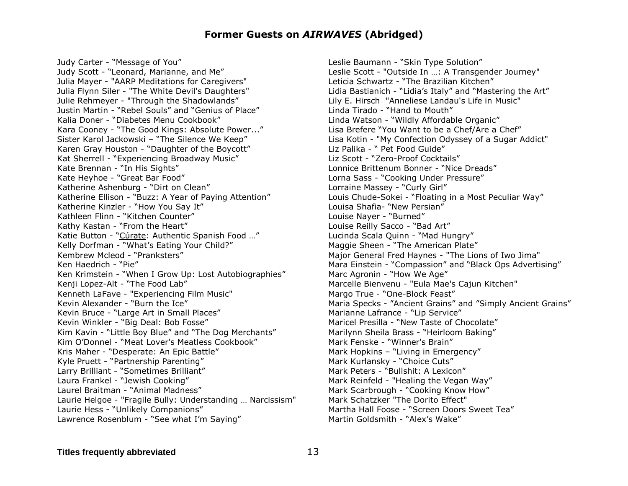Judy Carter - "Message of You" Judy Scott - "Leonard, Marianne, and Me" Julia Mayer - "AARP Meditations for Caregivers" Julia Flynn Siler - "The White Devil's Daughters" Julie Rehmeyer - "Through the Shadowlands" Justin Martin - "Rebel Souls" and "Genius of Place" Kalia Doner - "Diabetes Menu Cookbook" Kara Cooney - "The Good Kings: Absolute Power..." Sister Karol Jackowski – "The Silence We Keep" Karen Gray Houston - "Daughter of the Boycott" Kat Sherrell - "Experiencing Broadway Music" Kate Brennan - "In His Sights" Kate Heyhoe - "Great Bar Food" Katherine Ashenburg - "Dirt on Clean" Katherine Ellison - "Buzz: A Year of Paying Attention" Katherine Kinzler - "How You Say It" Kathleen Flinn - "Kitchen Counter" Kathy Kastan - "From the Heart" Katie Button - "[Cúrate:](https://www.amazon.com/C%C3%BArate-Authentic-Spanish-American-Kitchen/dp/1250059445/ref=sr_1_1?s=books&ie=UTF8&qid=1480456317&sr=1-1&keywords=curate+cookbook) Authentic Spanish Food …" Kelly Dorfman - "What's Eating Your Child?" Kembrew Mcleod - "Pranksters" Ken Haedrich - "Pie" Ken Krimstein - "When I Grow Up: Lost Autobiographies" Kenji Lopez-Alt - "The Food Lab" Kenneth LaFave - "Experiencing Film Music" Kevin Alexander - "Burn the Ice" Kevin Bruce - "Large Art in Small Places" Kevin Winkler - "Big Deal: Bob Fosse" Kim Kavin - "Little Boy Blue" and "The Dog Merchants" Kim O'Donnel - "Meat Lover's Meatless Cookbook" Kris Maher - "Desperate: An Epic Battle" Kyle Pruett - "Partnership Parenting" Larry Brilliant - "Sometimes Brilliant" Laura Frankel - "Jewish Cooking" Laurel Braitman - "Animal Madness" Laurie Helgoe - "Fragile Bully: Understanding … Narcissism" Laurie Hess - "Unlikely Companions" Lawrence Rosenblum - "See what I'm Saying"

Leslie Baumann - "Skin Type Solution" Leslie Scott - "Outside In …: A Transgender Journey" Leticia Schwartz - "The Brazilian Kitchen" Lidia Bastianich - "Lidia's Italy" and "Mastering the Art" Lily E. Hirsch "Anneliese Landau's Life in Music" Linda Tirado - "Hand to Mouth" Linda Watson - "Wildly Affordable Organic" Lisa Brefere "You Want to be a Chef/Are a Chef" Lisa Kotin - "My Confection Odyssey of a Sugar Addict" Liz Palika - " Pet Food Guide" Liz Scott - "Zero-Proof Cocktails" Lonnice Brittenum Bonner - "Nice Dreads" Lorna Sass - "Cooking Under Pressure" Lorraine Massey - "Curly Girl" Louis Chude-Sokei - "Floating in a Most Peculiar Way" Louisa Shafia- "New Persian" Louise Nayer - "Burned" Louise Reilly Sacco - "Bad Art" Lucinda Scala Quinn - "Mad Hungry" Maggie Sheen - "The American Plate" Major General Fred Haynes - "The Lions of Iwo Jima" Mara Einstein - "Compassion" and "Black Ops Advertising" Marc Agronin - "How We Age" Marcelle Bienvenu - "Eula Mae's Cajun Kitchen" Margo True - "One-Block Feast" Maria Specks - "Ancient Grains" and "Simply Ancient Grains" Marianne Lafrance - "Lip Service" Maricel Presilla - "New Taste of Chocolate" Marilynn Sheila Brass - "Heirloom Baking" Mark Fenske - "Winner's Brain" Mark Hopkins – "Living in Emergency" Mark Kurlansky - "Choice Cuts" Mark Peters - "Bullshit: A Lexicon" Mark Reinfeld - "Healing the Vegan Way" Mark Scarbrough - "Cooking Know How" Mark Schatzker "The Dorito Effect" Martha Hall Foose - "Screen Doors Sweet Tea" Martin Goldsmith - "Alex's Wake"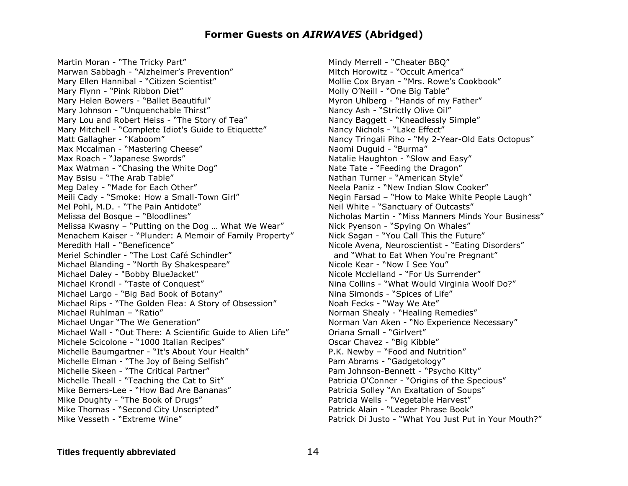Martin Moran - "The Tricky Part" Marwan Sabbagh - "Alzheimer's Prevention" Mary Ellen Hannibal - "Citizen Scientist" Mary Flynn - "Pink Ribbon Diet" Mary Helen Bowers - "Ballet Beautiful" Mary Johnson - "Unquenchable Thirst" Mary Lou and Robert Heiss - "The Story of Tea" Mary Mitchell - "Complete Idiot's Guide to Etiquette" Matt Gallagher - "Kaboom" Max Mccalman - "Mastering Cheese" Max Roach - "Japanese Swords" Max Watman - "Chasing the White Dog" May Bsisu - "The Arab Table" Meg Daley - "Made for Each Other" Meili Cady - "Smoke: How a Small-Town Girl" Mel Pohl, M.D. - "The Pain Antidote" Melissa del Bosque – "Bloodlines" Melissa Kwasny – "Putting on the Dog … What We Wear" Menachem Kaiser - "Plunder: A Memoir of Family Property" Meredith Hall - "Beneficence" Meriel Schindler - "The Lost Café Schindler" Michael Blanding - "North By Shakespeare" Michael Daley - "Bobby BlueJacket" Michael Krondl - "Taste of Conquest" Michael Largo - "Big Bad Book of Botany" Michael Rips - "The Golden Flea: A Story of Obsession" Michael Ruhlman – "Ratio" Michael Ungar "The We Generation" Michael Wall - "Out There: A Scientific Guide to Alien Life" Michele Scicolone - "1000 Italian Recipes" Michelle Baumgartner - "It's About Your Health" Michelle Elman - "The Joy of Being Selfish" Michelle Skeen - "The Critical Partner" Michelle Theall - "Teaching the Cat to Sit" Mike Berners-Lee - "How Bad Are Bananas" Mike Doughty - "The Book of Drugs" Mike Thomas - "Second City Unscripted" Mike Vesseth - "Extreme Wine"

Mindy Merrell - "Cheater BBQ" Mitch Horowitz - "Occult America" Mollie Cox Bryan - "Mrs. Rowe's Cookbook" Molly O'Neill - "One Big Table" Myron Uhlberg - "Hands of my Father" Nancy Ash - "Strictly Olive Oil" Nancy Baggett - "Kneadlessly Simple" Nancy Nichols - "Lake Effect" Nancy Tringali Piho - "My 2-Year-Old Eats Octopus" Naomi Duguid - "Burma" Natalie Haughton - "Slow and Easy" Nate Tate - "Feeding the Dragon" Nathan Turner - "American Style" Neela Paniz - "New Indian Slow Cooker" Negin Farsad – "How to Make White People Laugh" Neil White - "Sanctuary of Outcasts" Nicholas Martin - "Miss Manners Minds Your Business" Nick Pyenson - "Spying On Whales" Nick Sagan - "You Call This the Future" Nicole Avena, Neuroscientist - "Eating Disorders" and "What to Eat When You're Pregnant" Nicole Kear - "Now I See You" Nicole Mcclelland - "For Us Surrender" Nina Collins - "What Would Virginia Woolf Do?" Nina Simonds - "Spices of Life" Noah Fecks - "Way We Ate" Norman Shealy - "Healing Remedies" Norman Van Aken - "No Experience Necessary" Oriana Small - "Girlvert" Oscar Chavez - "Big Kibble" P.K. Newby – "Food and Nutrition" Pam Abrams - "Gadgetology" Pam Johnson-Bennett - "Psycho Kitty" Patricia O'Conner - "Origins of the Specious" Patricia Solley "An Exaltation of Soups" Patricia Wells - "Vegetable Harvest" Patrick Alain - "Leader Phrase Book" Patrick Di Justo - "What You Just Put in Your Mouth?"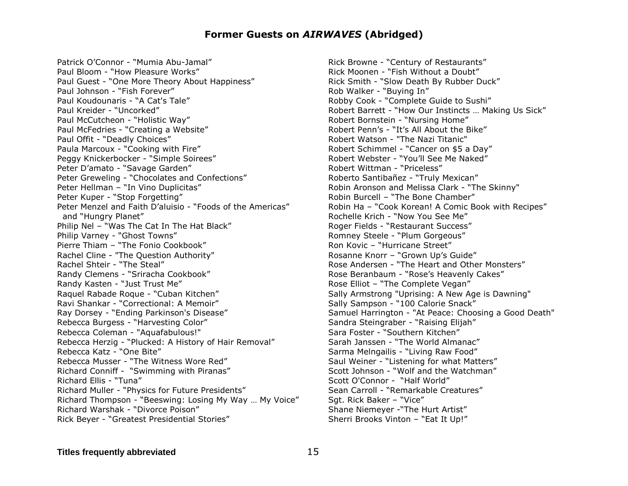Patrick O'Connor - "Mumia Abu-Jamal" Paul Bloom - "How Pleasure Works" Paul Guest - "One More Theory About Happiness" Paul Johnson - "Fish Forever" Paul Koudounaris - "A Cat's Tale" Paul Kreider - "Uncorked" Paul McCutcheon - "Holistic Way" Paul McFedries - "Creating a Website" Paul Offit - "Deadly Choices" Paula Marcoux - "Cooking with Fire" Peggy Knickerbocker - "Simple Soirees" Peter D'amato - "Savage Garden" Peter Greweling - "Chocolates and Confections" Peter Hellman – "In Vino Duplicitas" Peter Kuper - "Stop Forgetting" Peter Menzel and Faith D'aluisio - "Foods of the Americas" and "Hungry Planet" Philip Nel – "Was The Cat In The Hat Black" Philip Varney - "Ghost Towns" Pierre Thiam – "The Fonio Cookbook" Rachel Cline - "The Question Authority" Rachel Shteir - "The Steal" Randy Clemens - "Sriracha Cookbook" Randy Kasten - "Just Trust Me" Raquel Rabade Roque - "Cuban Kitchen" Ravi Shankar - "Correctional: A Memoir" Ray Dorsey - "Ending Parkinson's Disease" Rebecca Burgess - "Harvesting Color" Rebecca Coleman - "Aquafabulous!" Rebecca Herzig - "Plucked: A History of Hair Removal" Rebecca Katz - "One Bite" Rebecca Musser - "The Witness Wore Red" Richard Conniff - "Swimming with Piranas" Richard Ellis - "Tuna" Richard Muller - "Physics for Future Presidents" Richard Thompson - "Beeswing: Losing My Way … My Voice" Richard Warshak - "Divorce Poison" Rick Beyer - "Greatest Presidential Stories"

Rick Browne - "Century of Restaurants" Rick Moonen - "Fish Without a Doubt" Rick Smith - "Slow Death By Rubber Duck" Rob Walker - "Buying In" Robby Cook - "Complete Guide to Sushi" Robert Barrett - "How Our Instincts … Making Us Sick" Robert Bornstein - "Nursing Home" Robert Penn's - "It's All About the Bike" Robert Watson - "The Nazi Titanic" Robert Schimmel - "Cancer on \$5 a Day" Robert Webster - "You'll See Me Naked" Robert Wittman - "Priceless" Roberto Santibañez - "Truly Mexican" Robin Aronson and Melissa Clark - "The Skinny" Robin Burcell – "The Bone Chamber" Robin Ha – "Cook Korean! A Comic Book with Recipes" Rochelle Krich - "Now You See Me" Roger Fields - "Restaurant Success" Romney Steele - "Plum Gorgeous" Ron Kovic – "Hurricane Street" Rosanne Knorr – "Grown Up's Guide" Rose Andersen - "The Heart and Other Monsters" Rose Beranbaum - "Rose's Heavenly Cakes" Rose Elliot – "The Complete Vegan" Sally Armstrong "Uprising: A New Age is Dawning" Sally Sampson - "100 Calorie Snack" Samuel Harrington - "At Peace: Choosing a Good Death" Sandra Steingraber - "Raising Elijah" Sara Foster - "Southern Kitchen" Sarah Janssen - "The World Almanac" Sarma Melngailis - "Living Raw Food" Saul Weiner - "Listening for what Matters" Scott Johnson - "Wolf and the Watchman" Scott O'Connor - "Half World" Sean Carroll - "Remarkable Creatures" Sgt. Rick Baker – "Vice" Shane Niemeyer -"The Hurt Artist" Sherri Brooks Vinton – "Eat It Up!"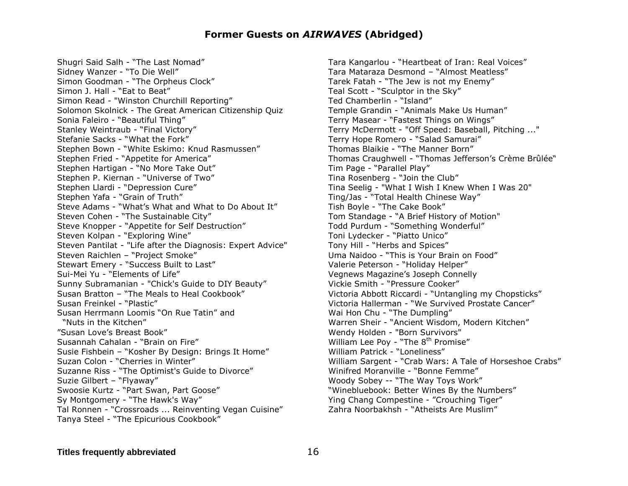Shugri Said Salh - "The Last Nomad" Sidney Wanzer - "To Die Well" Simon Goodman - "The Orpheus Clock" Simon J. Hall - "Eat to Beat" Simon Read - "Winston Churchill Reporting" Solomon Skolnick - The Great American Citizenship Quiz Sonia Faleiro - "Beautiful Thing" Stanley Weintraub - "Final Victory" Stefanie Sacks - "What the Fork" Stephen Bown - "White Eskimo: Knud Rasmussen" Stephen Fried - "Appetite for America" Stephen Hartigan - "No More Take Out" Stephen P. Kiernan - "Universe of Two" Stephen Llardi - "Depression Cure" Stephen Yafa - "Grain of Truth" Steve Adams - "What's What and What to Do About It" Steven Cohen - "The Sustainable City" Steve Knopper - "Appetite for Self Destruction" Steven Kolpan - "Exploring Wine" Steven Pantilat - "Life after the Diagnosis: Expert Advice" [Steven Raichlen](https://www.amazon.com/Project-Smoke-Steven-Raichlen/dp/0761181865/ref=sr_1_1?s=books&ie=UTF8&qid=1469025457&sr=1-1&keywords=project+smoke+by+steven+raichlen) – "Project Smoke" Stewart Emery - "Success Built to Last" Sui-Mei Yu - "Elements of Life" Sunny Subramanian - "Chick's Guide to DIY Beauty" Susan Bratton – "The Meals to Heal Cookbook" Susan Freinkel - "Plastic" Susan Herrmann Loomis "On Rue Tatin" and "Nuts in the Kitchen" "Susan Love's Breast Book" Susannah Cahalan - "Brain on Fire" Susie Fishbein – "Kosher By Design: Brings It Home" Suzan Colon - "Cherries in Winter" Suzanne Riss - "The Optimist's Guide to Divorce" Suzie Gilbert – "Flyaway" Swoosie Kurtz - "Part Swan, Part Goose" Sy Montgomery - "The Hawk's Way" Tal Ronnen - "Crossroads ... Reinventing Vegan Cuisine" Tanya Steel - "The Epicurious Cookbook"

Tara Kangarlou - "Heartbeat of Iran: Real Voices" Tara Mataraza Desmond – "Almost Meatless" Tarek Fatah - "The Jew is not my Enemy" Teal Scott - "Sculptor in the Sky" Ted Chamberlin - "Island" Temple Grandin - "Animals Make Us Human" Terry Masear - "Fastest Things on Wings" Terry McDermott - "Off Speed: Baseball, Pitching ..." Terry Hope Romero - "Salad Samurai" Thomas Blaikie - "The Manner Born" Thomas Craughwell - "Thomas Jefferson's Crème Brûlée" Tim Page - "Parallel Play" Tina Rosenberg - "Join the Club" Tina Seelig - "What I Wish I Knew When I Was 20" Ting/Jas - "Total Health Chinese Way" Tish Boyle - "The Cake Book" Tom Standage - "A Brief History of Motion" Todd Purdum - "Something Wonderful" Toni Lydecker - "Piatto Unico" Tony Hill - "Herbs and Spices" Uma Naidoo - "This is Your Brain on Food" Valerie Peterson - "Holiday Helper" Vegnews Magazine's Joseph Connelly Vickie Smith - "Pressure Cooker" Victoria Abbott Riccardi - "Untangling my Chopsticks" Victoria Hallerman - "We Survived Prostate Cancer" Wai Hon Chu - "The Dumpling" Warren Sheir - "Ancient Wisdom, Modern Kitchen" Wendy Holden - "Born Survivors" William Lee Poy - "The  $8<sup>th</sup>$  Promise" William Patrick - "Loneliness" William Sargent - "Crab Wars: A Tale of Horseshoe Crabs" Winifred Moranville - "Bonne Femme" Woody Sobey -- "The Way Toys Work" "Winebluebook: Better Wines By the Numbers" Ying Chang Compestine - "Crouching Tiger" Zahra Noorbakhsh - "Atheists Are Muslim"